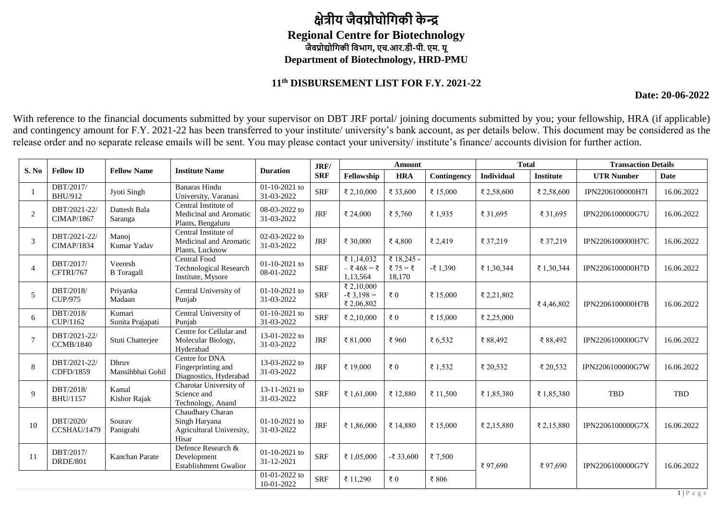## **क्षेत्रीय जैवप्रौघोगिकी के न्द्र Regional Centre for Biotechnology जैवप्रोद्योगिकी गवभाि, एच.आर.डी-पी. एम. यू Department of Biotechnology, HRD-PMU**

## **11th DISBURSEMENT LIST FOR F.Y. 2021-22**

**Date: 20-06-2022**

With reference to the financial documents submitted by your supervisor on DBT JRF portal/ joining documents submitted by you; your fellowship, HRA (if applicable) and contingency amount for F.Y. 2021-22 has been transferred to your institute/ university's bank account, as per details below. This document may be considered as the release order and no separate release emails will be sent. You may please contact your university/ institute's finance/ accounts division for further action.

|                |                                   |                              |                                                                        |                               | JRF/       | Amount                                  |                                  |                 | <b>Total</b> |                  | <b>Transaction Details</b> |            |
|----------------|-----------------------------------|------------------------------|------------------------------------------------------------------------|-------------------------------|------------|-----------------------------------------|----------------------------------|-----------------|--------------|------------------|----------------------------|------------|
| S. No          | <b>Fellow ID</b>                  | <b>Fellow Name</b>           | <b>Institute Name</b>                                                  | <b>Duration</b>               | <b>SRF</b> | Fellowship                              | <b>HRA</b>                       | Contingency     | Individual   | <b>Institute</b> | <b>UTR Number</b>          | Date       |
|                | DBT/2017/<br><b>BHU/912</b>       | Jyoti Singh                  | <b>Banaras Hindu</b><br>University, Varanasi                           | $01-10-2021$ to<br>31-03-2022 | <b>SRF</b> | ₹ 2,10,000                              | ₹ 33,600                         | ₹ 15,000        | ₹ 2,58,600   | ₹ 2,58,600       | IPN2206100000H7I           | 16.06.2022 |
| $\overline{2}$ | DBT/2021-22/<br><b>CIMAP/1867</b> | Dattesh Bala<br>Saranga      | Central Institute of<br>Medicinal and Aromatic<br>Plants, Bengaluru    | 08-03-2022 to<br>31-03-2022   | <b>JRF</b> | ₹ 24,000                                | ₹ 5,760                          | ₹ 1.935         | ₹ 31.695     | ₹ 31,695         | IPN2206100000G7U           | 16.06.2022 |
| 3              | DBT/2021-22/<br><b>CIMAP/1834</b> | Manoj<br>Kumar Yadav         | Central Institute of<br>Medicinal and Aromatic<br>Plants, Lucknow      | 02-03-2022 to<br>31-03-2022   | <b>JRF</b> | ₹ 30,000                                | ₹4,800                           | ₹ 2,419         | ₹ 37,219     | ₹ 37,219         | IPN2206100000H7C           | 16.06.2022 |
| $\overline{4}$ | DBT/2017/<br>CFTRI/767            | Veeresh<br><b>B</b> Toragall | Central Food<br><b>Technological Research</b><br>Institute, Mysore     | 01-10-2021 to<br>08-01-2022   | <b>SRF</b> | ₹ 1,14,032<br>$-$ ₹468 = ₹<br>1,13,564  | ₹ 18,245 -<br>₹ 75 = ₹<br>18,170 | $-$ ₹ 1,390     | ₹ 1,30,344   | ₹ 1,30,344       | IPN2206100000H7D           | 16.06.2022 |
| 5              | DBT/2018/<br>CUP/975              | Priyanka<br>Madaan           | Central University of<br>Punjab                                        | $01-10-2021$ to<br>31-03-2022 | <b>SRF</b> | ₹ 2,10,000<br>$-53,198 =$<br>₹ 2,06,802 | ₹ $0$                            | ₹ 15,000        | ₹ 2,21,802   | ₹4,46,802        | IPN2206100000H7B           | 16.06.2022 |
| 6              | DBT/2018/<br>CUP/1162             | Kumari<br>Sunita Prajapati   | Central University of<br>Puniab                                        | 01-10-2021 to<br>31-03-2022   | <b>SRF</b> | ₹ 2,10,000                              | ₹ $0$                            | ₹ 15,000        | ₹ 2,25,000   |                  |                            |            |
|                | DBT/2021-22/<br><b>CCMB/1840</b>  | Stuti Chatterjee             | Centre for Cellular and<br>Molecular Biology,<br>Hyderabad             | 13-01-2022 to<br>31-03-2022   | <b>JRF</b> | ₹ 81,000                                | ₹960                             | ₹ $6,532$       | ₹ 88,492     | ₹ 88,492         | IPN2206100000G7V           | 16.06.2022 |
| 8              | DBT/2021-22/<br>CDFD/1859         | Dhruv<br>Mansihbhai Gohil    | Centre for DNA<br>Fingerprinting and<br>Diagnostics, Hyderabad         | 13-03-2022 to<br>31-03-2022   | <b>JRF</b> | ₹ 19.000                                | $\bar{x}$ 0                      | $\bar{z}$ 1.532 | ₹ 20,532     | ₹ 20,532         | IPN2206100000G7W           | 16.06.2022 |
| $\mathbf{Q}$   | DBT/2018/<br>BHU/1157             | Kamal<br>Kishor Rajak        | Charotar University of<br>Science and<br>Technology, Anand             | 13-11-2021 to<br>31-03-2022   | <b>SRF</b> | ₹ 1,61,000                              | ₹ 12,880                         | ₹ 11,500        | ₹ 1,85,380   | ₹ 1,85,380       | <b>TBD</b>                 | TBD        |
| 10             | DBT/2020/<br>CCSHAU/1479          | Sourav<br>Panigrahi          | Chaudhary Charan<br>Singh Haryana<br>Agricultural University,<br>Hisar | $01-10-2021$ to<br>31-03-2022 | <b>JRF</b> | ₹ 1,86,000                              | ₹ 14,880                         | ₹ 15,000        | ₹ 2,15,880   | ₹ 2,15,880       | IPN2206100000G7X           | 16.06.2022 |
| 11             | DBT/2017/<br><b>DRDE/801</b>      | Kanchan Parate               | Defence Research &<br>Development<br><b>Establishment Gwalior</b>      | $01-10-2021$ to<br>31-12-2021 | <b>SRF</b> | ₹ 1,05,000                              | $-$ ₹ 33,600                     | ₹7,500          | ₹97,690      | ₹97,690          | IPN2206100000G7Y           | 16.06.2022 |
|                |                                   |                              |                                                                        | 01-01-2022 to<br>10-01-2022   | <b>SRF</b> | ₹ 11,290                                | $\bar{x}$ 0                      | ₹ 806           |              |                  |                            |            |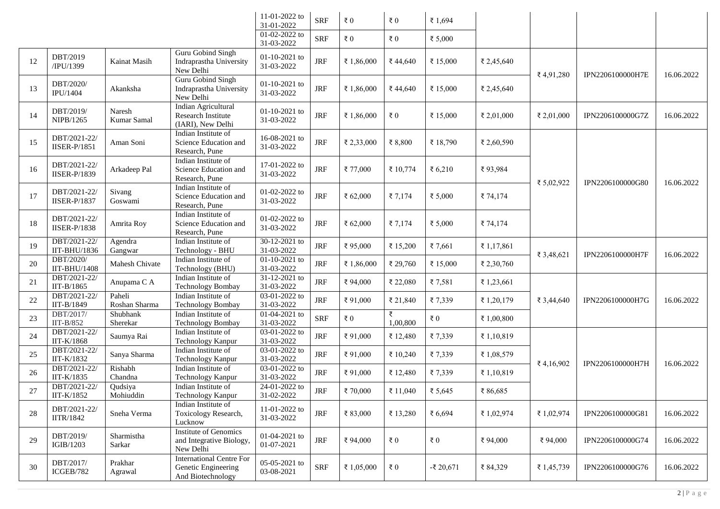|    |                                     |                         |                                                                             | 11-01-2022 to<br>31-01-2022   | <b>SRF</b> | $\bar{\tau}$ 0 | $\bar{\tau}$ 0 | ₹ 1,694        |            |            |                         |            |
|----|-------------------------------------|-------------------------|-----------------------------------------------------------------------------|-------------------------------|------------|----------------|----------------|----------------|------------|------------|-------------------------|------------|
|    |                                     |                         |                                                                             | $01-02-2022$ to<br>31-03-2022 | <b>SRF</b> | $\bar{\tau}$ 0 | $\bar{\tau}$ 0 | ₹ $5,000$      |            |            |                         |            |
| 12 | DBT/2019<br>/IPU/1399               | Kainat Masih            | Guru Gobind Singh<br>Indraprastha University<br>New Delhi                   | $01-10-2021$ to<br>31-03-2022 | $\rm JRF$  | ₹ 1,86,000     | ₹44,640        | ₹ 15,000       | ₹ 2,45,640 | ₹4,91,280  | <b>IPN2206100000H7E</b> | 16.06.2022 |
| 13 | DBT/2020/<br><b>IPU/1404</b>        | Akanksha                | Guru Gobind Singh<br>Indraprastha University<br>New Delhi                   | $01-10-2021$ to<br>31-03-2022 | $\rm JRF$  | ₹ 1,86,000     | ₹44,640        | ₹ 15,000       | ₹ 2,45,640 |            |                         |            |
| 14 | DBT/2019/<br>NIPB/1265              | Naresh<br>Kumar Samal   | Indian Agricultural<br>Research Institute<br>(IARI), New Delhi              | 01-10-2021 to<br>31-03-2022   | $\rm JRF$  | ₹ 1,86,000     | ₹ $0$          | ₹ 15,000       | ₹ 2,01,000 | ₹ 2,01,000 | IPN2206100000G7Z        | 16.06.2022 |
| 15 | DBT/2021-22/<br><b>IISER-P/1851</b> | Aman Soni               | Indian Institute of<br>Science Education and<br>Research, Pune              | 16-08-2021 to<br>31-03-2022   | $\rm JRF$  | ₹ 2,33,000     | ₹ 8,800        | ₹ 18,790       | ₹ 2,60,590 |            |                         |            |
| 16 | DBT/2021-22/<br><b>IISER-P/1839</b> | Arkadeep Pal            | Indian Institute of<br>Science Education and<br>Research, Pune              | 17-01-2022 to<br>31-03-2022   | <b>JRF</b> | ₹ 77,000       | ₹ 10,774       | ₹ $6,210$      | ₹93,984    | ₹ 5,02,922 | IPN2206100000G80        | 16.06.2022 |
| 17 | DBT/2021-22/<br><b>IISER-P/1837</b> | Sivang<br>Goswami       | Indian Institute of<br>Science Education and<br>Research, Pune              | $01-02-2022$ to<br>31-03-2022 | $\rm JRF$  | ₹ $62,000$     | ₹ 7,174        | ₹ 5,000        | ₹74,174    |            |                         |            |
| 18 | DBT/2021-22/<br><b>IISER-P/1838</b> | Amrita Roy              | Indian Institute of<br>Science Education and<br>Research, Pune              | 01-02-2022 to<br>31-03-2022   | <b>JRF</b> | ₹ $62,000$     | ₹ 7,174        | ₹ $5,000$      | ₹74,174    |            |                         |            |
| 19 | DBT/2021-22/<br>IIT-BHU/1836        | Agendra<br>Gangwar      | Indian Institute of<br>Technology - BHU                                     | 30-12-2021 to<br>31-03-2022   | $\rm JRF$  | ₹95,000        | ₹ 15,200       | ₹7,661         | ₹ 1,17,861 |            |                         |            |
| 20 | DBT/2020/<br><b>IIT-BHU/1408</b>    | Mahesh Chivate          | Indian Institute of<br>Technology (BHU)                                     | 01-10-2021 to<br>31-03-2022   | <b>JRF</b> | ₹ 1,86,000     | ₹ 29,760       | ₹ 15,000       | ₹ 2,30,760 | ₹ 3,48,621 | <b>IPN2206100000H7F</b> | 16.06.2022 |
| 21 | DBT/2021-22/<br>IIT-B/1865          | Anupama C A             | Indian Institute of<br><b>Technology Bombay</b>                             | 31-12-2021 to<br>31-03-2022   | $\rm JRF$  | ₹ 94,000       | ₹ 22,080       | ₹7,581         | ₹ 1,23,661 |            |                         |            |
| 22 | DBT/2021-22/<br>IIT-B/1849          | Paheli<br>Roshan Sharma | Indian Institute of<br>Technology Bombay                                    | 03-01-2022 to<br>31-03-2022   | <b>JRF</b> | ₹ 91,000       | ₹ 21,840       | ₹7,339         | ₹ 1,20,179 | ₹ 3,44,640 | IPN2206100000H7G        | 16.06.2022 |
| 23 | DBT/2017/<br>$IIT-B/852$            | Shubhank<br>Sherekar    | Indian Institute of<br><b>Technology Bombay</b>                             | 01-04-2021 to<br>31-03-2022   | <b>SRF</b> | ₹ $0$          | ₹<br>1,00,800  | $\epsilon$ 0   | ₹ 1,00,800 |            |                         |            |
| 24 | DBT/2021-22/<br>IIT-K/1868          | Saumya Rai              | Indian Institute of<br>Technology Kanpur                                    | 03-01-2022 to<br>31-03-2022   | <b>JRF</b> | ₹91,000        | ₹ 12,480       | ₹7,339         | ₹1,10,819  |            |                         |            |
| 25 | DBT/2021-22/<br>IIT-K/1832          | Sanya Sharma            | Indian Institute of<br>Technology Kanpur                                    | 03-01-2022 to<br>31-03-2022   | <b>JRF</b> | ₹91,000        | ₹ 10,240       | ₹7,339         | ₹ 1,08,579 |            |                         |            |
| 26 | DBT/2021-22/<br>IIT-K/1835          | Rishabh<br>Chandna      | Indian Institute of<br>Technology Kanpur                                    | 03-01-2022 to<br>31-03-2022   | <b>JRF</b> | ₹91,000        | ₹ 12,480       | ₹7,339         | ₹ 1,10,819 | ₹ 4,16,902 | IPN2206100000H7H        | 16.06.2022 |
| 27 | DBT/2021-22/<br>IIT-K/1852          | Qudsiya<br>Mohiuddin    | Indian Institute of<br>Technology Kanpur                                    | 24-01-2022 to<br>31-02-2022   | <b>JRF</b> | ₹ 70,000       | ₹ 11,040       | ₹ 5,645        | ₹86,685    |            |                         |            |
| 28 | DBT/2021-22/<br><b>IITR/1842</b>    | Sneha Verma             | Indian Institute of<br>Toxicology Research,<br>Lucknow                      | 11-01-2022 to<br>31-03-2022   | $\rm JRF$  | ₹ 83,000       | ₹ 13,280       | ₹ $6,694$      | ₹ 1,02,974 | ₹ 1,02,974 | IPN2206100000G81        | 16.06.2022 |
| 29 | DBT/2019/<br>IGIB/1203              | Sharmistha<br>Sarkar    | Institute of Genomics<br>and Integrative Biology,<br>New Delhi              | 01-04-2021 to<br>01-07-2021   | $\rm JRF$  | ₹ 94,000       | $\epsilon$ 0   | $\bar{\tau}$ 0 | ₹94,000    | ₹94,000    | IPN2206100000G74        | 16.06.2022 |
| 30 | DBT/2017/<br>ICGEB/782              | Prakhar<br>Agrawal      | <b>International Centre For</b><br>Genetic Engineering<br>And Biotechnology | 05-05-2021 to<br>03-08-2021   | <b>SRF</b> | ₹ 1,05,000     | $\epsilon$ 0   | $-$ ₹ 20,671   | ₹ 84,329   | ₹ 1,45,739 | IPN2206100000G76        | 16.06.2022 |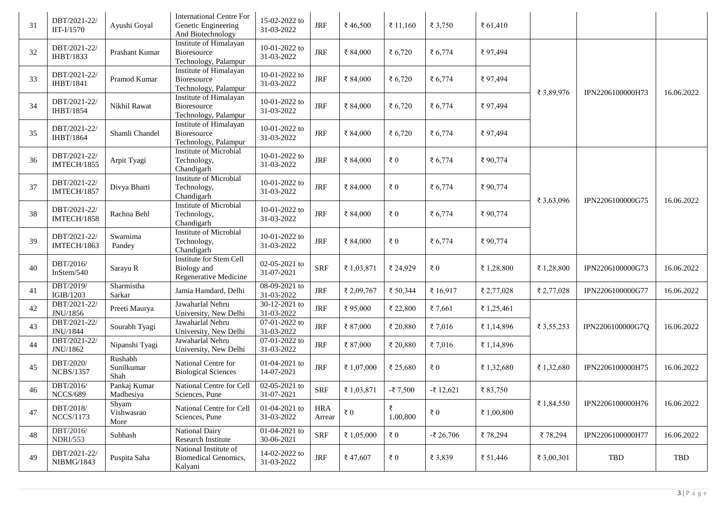| 31 | DBT/2021-22/<br>$IIT-I/1570$     | Ayushi Goyal                  | <b>International Centre For</b><br>Genetic Engineering<br>And Biotechnology | 15-02-2022 to<br>31-03-2022   | <b>JRF</b>           | ₹46,500        | ₹ 11,160       | ₹ 3,750      | ₹ $61,410$ |            |                  |            |
|----|----------------------------------|-------------------------------|-----------------------------------------------------------------------------|-------------------------------|----------------------|----------------|----------------|--------------|------------|------------|------------------|------------|
| 32 | DBT/2021-22/<br>IHBT/1833        | Prashant Kumar                | Institute of Himalayan<br>Bioresource<br>Technology, Palampur               | 10-01-2022 to<br>31-03-2022   | $\rm JRF$            | ₹ 84,000       | ₹ $6,720$      | ₹ 6,774      | ₹97,494    |            | IPN2206100000H73 | 16.06.2022 |
| 33 | DBT/2021-22/<br><b>IHBT/1841</b> | Pramod Kumar                  | Institute of Himalayan<br>Bioresource<br>Technology, Palampur               | 10-01-2022 to<br>31-03-2022   | $\rm JRF$            | ₹ 84,000       | ₹ 6,720        | ₹ 6,774      | ₹97,494    | ₹ 3,89,976 |                  |            |
| 34 | DBT/2021-22/<br><b>IHBT/1854</b> | Nikhil Rawat                  | Institute of Himalayan<br>Bioresource<br>Technology, Palampur               | 10-01-2022 to<br>31-03-2022   | <b>JRF</b>           | ₹ 84,000       | ₹ $6,720$      | ₹ 6,774      | ₹97,494    |            |                  |            |
| 35 | DBT/2021-22/<br><b>IHBT/1864</b> | Shamli Chandel                | Institute of Himalayan<br>Bioresource<br>Technology, Palampur               | 10-01-2022 to<br>31-03-2022   | $\rm JRF$            | ₹ 84,000       | ₹ 6,720        | ₹ 6,774      | ₹97,494    |            |                  |            |
| 36 | DBT/2021-22/<br>IMTECH/1855      | Arpit Tyagi                   | Institute of Microbial<br>Technology,<br>Chandigarh                         | 10-01-2022 to<br>31-03-2022   | $\rm JRF$            | ₹ 84,000       | $\epsilon$ 0   | ₹ 6,774      | ₹90,774    |            |                  |            |
| 37 | DBT/2021-22/<br>IMTECH/1857      | Divya Bharti                  | Institute of Microbial<br>Technology,<br>Chandigarh                         | 10-01-2022 to<br>31-03-2022   | $\rm JRF$            | ₹ 84,000       | $\epsilon$ 0   | ₹ 6,774      | ₹90,774    | ₹ 3,63,096 | IPN2206100000G75 | 16.06.2022 |
| 38 | DBT/2021-22/<br>IMTECH/1858      | Rachna Behl                   | Institute of Microbial<br>Technology,<br>Chandigarh                         | 10-01-2022 to<br>31-03-2022   | $\rm JRF$            | ₹ 84,000       | $\epsilon$ 0   | ₹ 6,774      | ₹90,774    |            |                  |            |
| 39 | DBT/2021-22/<br>IMTECH/1863      | Swarnima<br>Pandey            | Institute of Microbial<br>Technology,<br>Chandigarh                         | 10-01-2022 to<br>31-03-2022   | <b>JRF</b>           | ₹ 84,000       | $\epsilon$ 0   | ₹ 6,774      | ₹90,774    |            |                  |            |
| 40 | DBT/2016/<br>InStem/540          | Sarayu R                      | <b>Institute for Stem Cell</b><br>Biology and<br>Regenerative Medicine      | $02-05-2021$ to<br>31-07-2021 | <b>SRF</b>           | ₹ 1,03,871     | ₹ 24,929       | ₹ $0$        | ₹ 1,28,800 | ₹ 1,28,800 | IPN2206100000G73 | 16.06.2022 |
| 41 | DBT/2019/<br>IGIB/1203           | Sharmistha<br>Sarkar          | Jamia Hamdard, Delhi                                                        | 08-09-2021 to<br>31-03-2022   | <b>JRF</b>           | ₹ 2,09,767     | ₹ 50,344       | ₹ 16,917     | ₹ 2,77,028 | ₹ 2,77,028 | IPN2206100000G77 | 16.06.2022 |
| 42 | DBT/2021-22/<br>JNU/1856         | Preeti Maurya                 | Jawaharlal Nehru<br>University, New Delhi                                   | 30-12-2021 to<br>31-03-2022   | <b>JRF</b>           | ₹95,000        | ₹ 22,800       | ₹7,661       | ₹ 1,25,461 |            |                  |            |
| 43 | DBT/2021-22/<br>JNU/1844         | Sourabh Tyagi                 | Jawaharlal Nehru<br>University, New Delhi                                   | 07-01-2022 to<br>31-03-2022   | <b>JRF</b>           | ₹ 87,000       | ₹ 20,880       | ₹ 7,016      | ₹ 1,14,896 | ₹ 3,55,253 | IPN2206100000G7Q | 16.06.2022 |
| 44 | DBT/2021-22/<br>JNU/1862         | Nipanshi Tyagi                | Jawaharlal Nehru<br>University, New Delhi                                   | 07-01-2022 to<br>31-03-2022   | $\rm JRF$            | ₹ 87,000       | ₹ 20,880       | ₹7,016       | ₹ 1,14,896 |            |                  |            |
| 45 | DBT/2020/<br><b>NCBS/1357</b>    | Rushabh<br>Sunilkumar<br>Shah | National Centre for<br><b>Biological Sciences</b>                           | 01-04-2021 to<br>14-07-2021   | <b>JRF</b>           | ₹ 1,07,000     | ₹ 25,680       | ₹ $0$        | ₹ 1,32,680 | ₹ 1,32,680 | IPN2206100000H75 | 16.06.2022 |
| 46 | DBT/2016/<br><b>NCCS/689</b>     | Pankaj Kumar<br>Madhesiya     | National Centre for Cell<br>Sciences, Pune                                  | 02-05-2021 to<br>31-07-2021   | <b>SRF</b>           | ₹ 1,03,871     | $-$ ₹ 7,500    | $-$ ₹ 12.621 | ₹83,750    |            |                  |            |
| 47 | DBT/2018/<br><b>NCCS/1173</b>    | Shyam<br>Vishwasrao<br>More   | National Centre for Cell<br>Sciences, Pune                                  | $01-04-2021$ to<br>31-03-2022 | <b>HRA</b><br>Arrear | $\bar{\tau}$ 0 | ₹<br>1,00,800  | $\epsilon$ 0 | ₹ 1,00,800 | ₹ 1,84,550 | IPN2206100000H76 | 16.06.2022 |
| 48 | DBT/2016/<br><b>NDRI/553</b>     | Subhash                       | National Dairy<br>Research Institute                                        | 01-04-2021 to<br>30-06-2021   | <b>SRF</b>           | ₹ 1,05,000     | $\bar{x}$ 0    | $-$ ₹ 26,706 | ₹78,294    | ₹78,294    | IPN2206100000H77 | 16.06.2022 |
| 49 | DBT/2021-22/<br>NIBMG/1843       | Puspita Saha                  | National Institute of<br><b>Biomedical Genomics,</b><br>Kalyani             | 14-02-2022 to<br>31-03-2022   | $\operatorname{JRF}$ | ₹47,607        | $\bar{\tau}$ 0 | ₹ 3,839      | ₹ 51,446   | ₹ 3,00,301 | TBD              | TBD        |